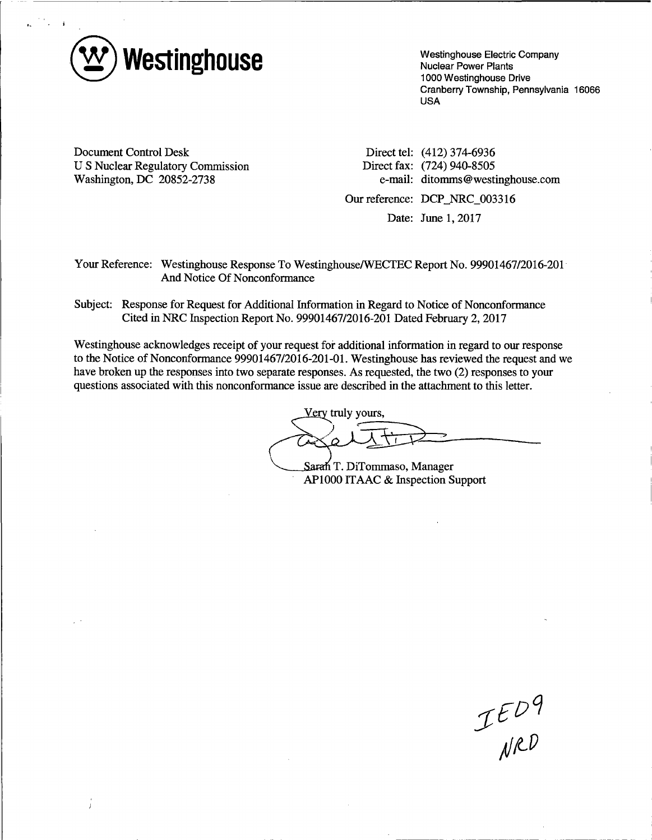

Westinghouse Electric Company Nuclear Power Plants 1000 Westinghouse Drive Cranberry Township, Pennsylvania 16066 USA

Document Control Desk U S Nuclear Regulatory Commission Washington, DC 20852-2738

Direct tel: (412) 374-6936 Direct fax: (724) 940-8505 e-mail: ditomms@westinghouse.com

Our reference: DCP\_NRC\_003316

Date: June 1, 2017

Your Reference: Westinghouse Response To Westinghouse/WECTEC Report No. 99901467/2016-201 And Notice Of Nonconformance

Subject: Response for Request for Additional Information in Regard to Notice of Nonconformance Cited in NRC Inspection Report No. 99901467/2016-201 Dated February 2, 2017

Westinghouse acknowledges receipt of your request for additional information in regard to our response to the Notice of Nonconformance 99901467/2016-201-01. Westinghouse has reviewed the request and we have broken up the responses into two separate responses. As requested, the two (2) responses to your questions associated with this nonconformance issue are described in the attachment to this letter.

Very truly yours,  $\sqrt{114-120}$ Sarah T. DiTommaso, Manager

AP1000 ITAAC & Inspection Support

 $IED9$ <br>NRD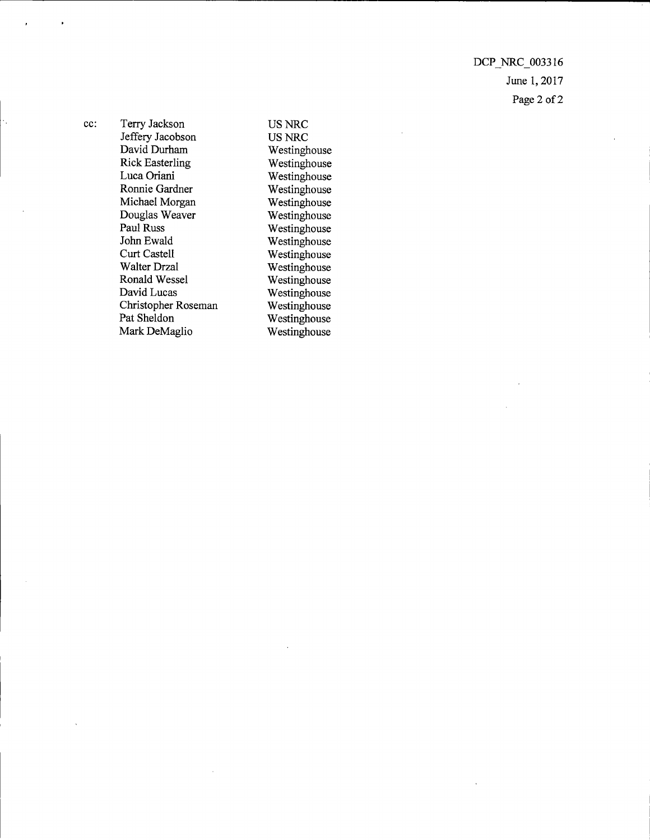DCP\_NRC\_003316 June 1, 2017 Page 2 of 2

cc: Terry Jackson Jeffery Jacobson David Durham Rick Easterling LucaOriani Ronnie Gardner Michael Morgan Douglas Weaver Paul Russ John Ewald Curt Castell Walter Drzal Ronald Wessel David Lucas Christopher Roseman Pat Sheldon Mark DeMaglio

USNRC US NRC Westinghouse Westinghouse Westinghouse Westinghouse Westinghouse Westinghouse Westinghouse Westinghouse Westinghouse Westinghouse Westinghouse Westinghouse Westinghouse Westinghouse Westinghouse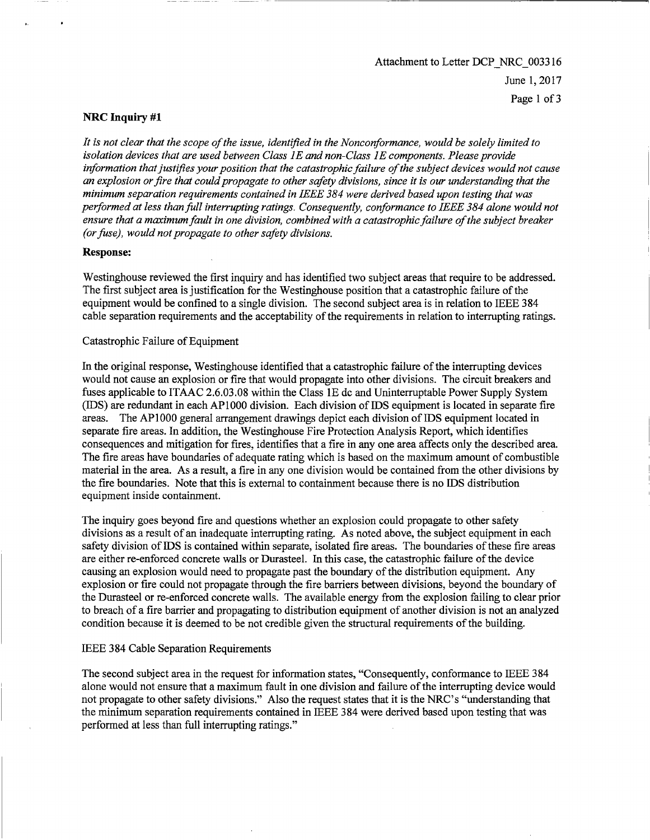# Attachment to Letter DCP NRC\_003316 June 1, 2017 Page 1 of 3

## **NRC Inquiry #1**

*It is not clear that the scope of the issue, identified in the Nonconformance, would be solely limited to*  isolation devices that are used between Class 1E and non-Class 1E components. Please provide *information that justifies your position that the catastrophic failure of the subject devices would not cause an explosion or fire that could propagate to other safety divisions, since it is our understanding that the minimum separation requirements contained in IEEE 384 were derived based upon testing that was performed at less than full interrupting ratings. Consequently, conformance to IEEE 384 alone would not ensure that a maximum fault in one division, combined with a catastrophic failure of the subject breaker (or fuse), would not propagate to other safety divisions.* 

### **Response:**

Westinghouse reviewed the first inquiry and has identified two subject areas that require to be addressed. The first subject area is justification for the Westinghouse position that a catastrophic failure of the equipment would be confined to a single division. The second subject area is in relation to IEEE 384 cable separation requirements and the acceptability of the requirements in relation to interrupting ratings.

### Catastrophic Failure of Equipment

In the original response, Westinghouse identified that a catastrophic failure of the interrupting devices would not cause an explosion or fire that would propagate into other divisions. The circuit breakers and fuses applicable to ITAAC 2.6.03.08 within the Class 1E de and Uninterruptable Power Supply System (IDS) are redundant in each AP 1000 division. Each division of IDS equipment is located in separate fire areas. The APlOOO general arrangement drawings depict each division of IDS equipment located in separate fire areas. In addition, the Westinghouse Fire Protection Analysis Report, which identifies consequences and mitigation for fires, identifies that a fire in any one area affects only the described area. The fire areas have boundaries of adequate rating which is based on the maximum amount of combustible material in the area. As a result, a fire in any one division would be contained from the other divisions by the fire boundaries. Note that this is external to containment because there is no IDS distribution equipment inside containment.

The inquiry goes beyond fire and questions whether an explosion could propagate to other safety divisions as a result of an inadequate interrupting rating. As noted above, the subject equipment in each safety division of IDS is contained within separate, isolated fire areas. The boundaries of these fire areas are either re-enforced concrete walls or Durasteel. In this case, the catastrophic failure of the device causing an explosion would need to propagate past the boundary of the distribution equipment. Any explosion or fire could not propagate through the fire barriers between divisions, beyond the boundary of the Durasteel or re-enforced concrete walls. The available energy from the explosion failing to clear prior to breach of a fire barrier and propagating to distribution equipment of another division is not an analyzed condition because it is deemed to be not credible given the structural requirements of the building.

### IEEE 384 Cable Separation Requirements

The second subject area in the request for information states, "Consequently, conformance to IEEE 384 alone would not ensure that a maximum fault in one division and failure of the interrupting device would not propagate to other safety divisions." Also the request states that it is the NRC's "understanding that the minimum separation requirements contained in IEEE 384 were derived based upon testing that was performed at less than full interrupting ratings."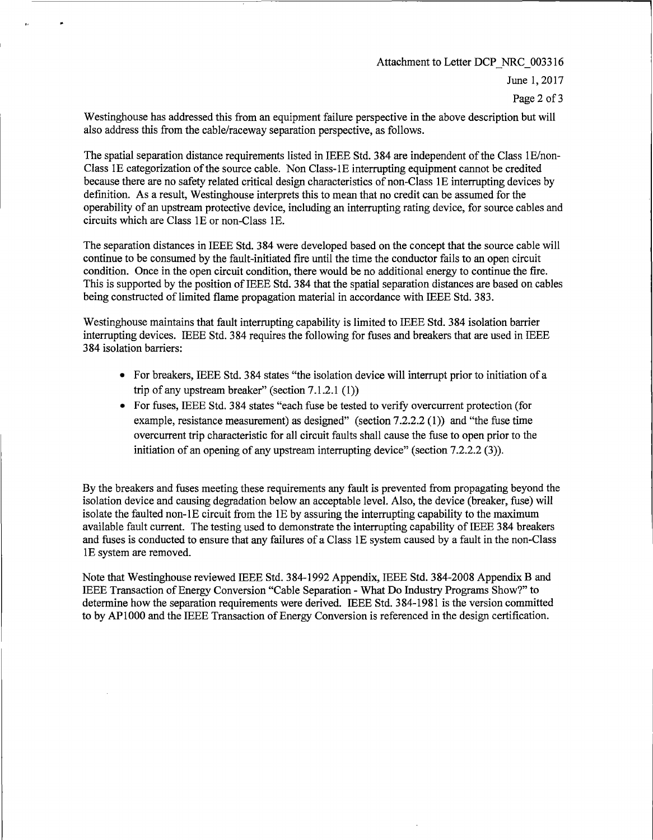Attachment to Letter DCP NRC 003316

June I, 20I7

Page 2 of 3

Westinghouse has addressed this from an equipment failure perspective in the above description but will also address this from the cable/raceway separation perspective, as follows.

The spatial separation distance requirements listed in IEEE Std. 384 are independent of the Class IE/non-Class IE categorization of the source cable. Non Class-IE interrupting equipment cannot be credited because there are no safety related critical design characteristics of non-Class IE interrupting devices by definition. As a result, Westinghouse interprets this to mean that no credit can be assumed for the operability of an upstream protective device, including an interrupting rating device, for source cables and circuits which are Class IE or non-Class IE.

The separation distances in IEEE Std. 384 were developed based on the concept that the source cable will continue to be consumed by the fault-initiated fire until the time the conductor fails to an open circuit condition. Once in the open circuit condition, there would be no additional energy to continue the fire. This is supported by the position of IEEE Std. 384 that the spatial separation distances are based on cables being constructed of limited flame propagation material in accordance with IEEE Std. 383.

Westinghouse maintains that fault interrupting capability is limited to IEEE Std. 384 isolation barrier interrupting devices. IEEE Std. 384 requires the following for fuses and breakers that are used in IEEE 384 isolation barriers:

- For breakers, IEEE Std. 384 states "the isolation device will interrupt prior to initiation of a trip of any upstream breaker" (section 7.1.2.l (I))
- For fuses, IEEE Std. 384 states "each fuse be tested to verify overcurrent protection (for example, resistance measurement) as designed" (section 7.2.2.2 (1)) and "the fuse time overcurrent trip characteristic for all circuit faults shall cause the fuse to open prior to the initiation of an opening of any upstream interrupting device" (section 7.2.2.2 (3)).

By the breakers and fuses meeting these requirements any fault is prevented from propagating beyond the isolation device and causing degradation below an acceptable level. Also, the device (breaker, fuse) will isolate the faulted non-IE circuit from the IE by assuring the interrupting capability to the maximum available fault current. The testing used to demonstrate the interrupting capability of IEEE 384 breakers and fuses is conducted to ensure that any failures of a Class IE system caused by a fault in the non-Class IE system are removed.

Note that Westinghouse reviewed IEEE Std. 384-I992 Appendix, IEEE Std. 384-2008 Appendix Band IEEE Transaction of Energy Conversion "Cable Separation - What Do Industry Programs Show?" to determine how the separation requirements were derived. IEEE Std. 384-1981 is the version committed to by APIOOO and the IEEE Transaction of Energy Conversion is referenced in the design certification.